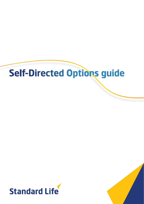# **Self-Directed Options guide**



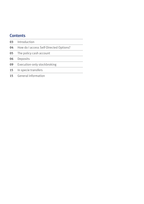### **Contents**

| 03 | Introduction                           |
|----|----------------------------------------|
| 04 | How do I access Self-Directed Options? |
| 05 | The policy cash account                |
| 06 | Deposits                               |
| 09 | Execution-only stockbroking            |
| 15 | In specie transfers                    |
| 15 | General information                    |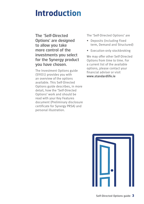### **Introduction**

The 'Self-Directed Options' are designed to allow you take more control of the investments you select for the Synergy product you have chosen.

The Investment Options guide (SYIO1) provides you with an overview of the options available. This Self-Directed Options guide describes, in more detail, how the 'Self-Directed Options' work and should be read with your Key Features document (Preliminary disclosure certificate for Synergy PRSA) and personal illustration.

The 'Self-Directed Options' are

- Deposits (including Fixed term, Demand and Structured)
- Execution-only stockbroking

We may offer other Self-Directed Options from time to time. For a current list of the available options, please contact your financial adviser or visit **www.standardlife.ie**

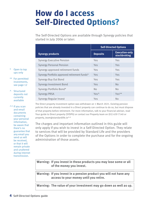## **How do I access Self-Directed Options?**

The Self-Directed Options are available through Synergy policies that started in July 2006 or later:

|                                              | <b>Self-Directed Options</b> |                                       |
|----------------------------------------------|------------------------------|---------------------------------------|
| <b>Synergy products</b>                      | <b>Deposits</b>              | <b>Execution-only</b><br>stockbroking |
| <b>Synergy Executive Pension</b>             | Yes                          | Yes                                   |
| <b>Synergy Personal Pension</b>              | Yes                          | Yes                                   |
| Synergy approved retirement funds            | Yes                          | Yes                                   |
| Synergy Portfolio approved retirement funds* | Yes                          | Yes                                   |
| Synergy Buy Out Bond                         | Yes                          | Yes                                   |
| <b>Synergy Investment Bond</b>               | Yes                          | <b>No</b>                             |
| Synergy Portfolio Bond*                      | <b>No</b>                    | N <sub>o</sub>                        |
| <b>Synergy PRSA</b>                          | $Y\rho S^{\Lambda}$          | $Yes**$                               |
| Synergy Regular Invest                       | Yes                          | <b>No</b>                             |

The Direct property investment option was withdrawn on 1 March 2021. Existing pension policies that are already invested in a Direct property can continue to do so, but must dispose of that property before retirement. For more information, talk to your financial adviser, read Your guide to Direct property (SYDPG) or contact our Property team on (01) 639 7140 or property\_team@standardlife.je^^

The charges and important information outlined in this guide will only apply if you wish to invest in a Self-Directed Option. They relate to services that will be provided by Standard Life and the providers of the Options in order to complete the purchase and for the ongoing administration of those assets.

**Warning: If you invest in these products you may lose some or all of the money you invest.**

**Warning: If you invest in a pension product you will not have any access to your money until you retire.**

**Warning: The value of your investment may go down as well as up.**

- \* Open to top ups only
- \*\* For permitted investments, see page 12
- ^ Structured deposits not currently available

^^ If you scan and email documents containing your personal information, be aware that there's no guarantee that any email you send us will be received, or that it will remain private and unaltered during internet transmission.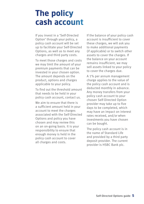### **The policy cash account**

If you invest in a 'Self-Directed Option' through your policy, a policy cash account will be set up to facilitate your Self-Directed Options, as well as to meet any charges and third party costs.

To meet those charges and costs we may limit the amount of your premium payments that can be invested in your chosen option. The amount depends on the product, options and charges applicable to your policy.

To find out the threshold amount that needs to be held in your policy cash account, contact us.

We aim to ensure that there is a sufficient amount held in your account to meet the charges associated with the Self-Directed Options and policy you have chosen and may review this on an on-going basis. It is your responsibility to ensure that enough money is held in the policy cash account to cover all charges and costs.

If the balance of your policy cash account is insufficient to cover these charges, we will ask you to make additional payments (if applicable) or to switch other assets to cover the charges. If the balance on your account remains insufficient, we may sell assets linked to your policy to cover the charges due.

A 1% per annum management charge applies to the value of the policy cash account and is deducted monthly in advance. Any money transfers from your policy cash account to your chosen Self-Directed Option provider may take up to five days to be completed, which may have an impact on interest rates received, and/or when investments you have chosen can be bought.

The policy cash account is in the name of Standard Life and provided by a third party deposit provider. The current provider is HSBC Bank plc.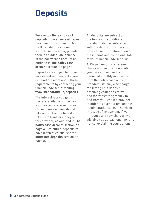### **Deposits**

We aim to offer a choice of deposits from a range of deposit providers. On your instruction, we'll transfer the amount to your chosen provider, provided there's an adequate balance in the policy cash account as outlined in **The policy cash account** section on page 5.

Deposits are subject to minimum investment requirements. You can find out more about these requirements by contacting your financial adviser, or visiting **www.standardlife.ie/deposits**

The interest rate you get is the rate available on the day your money is received by your chosen provider. You should take account of the time it may take us to transfer money to this provider, as outlined in **The policy cash account** section on page 4. Structured deposits will have different criteria, see the **structured deposits** section on page 8.

All deposits are subject to the terms and conditions Standard Life has entered into with the deposit provider you have chosen. For information on these terms and conditions, talk to your financial adviser or us.

A 1% per annum management charge applies to all deposits you have chosen and is deducted monthly in advance from the policy cash account. Standard Life may also charge for setting up a deposit, obtaining valuations for you, and for transferring money to and from your chosen provider in order to cover our reasonable administration costs in servicing this type of investment. If we introduce any new charges, we will give you at least one month's notice, explaining your options.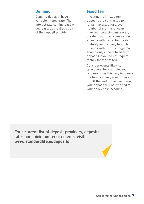#### **Demand**

Demand deposits have a variable interest rate. The interest rate can increase or decrease, at the discretion of the deposit provider.

#### **Fixed term**

Investments in fixed term deposits are contracted to remain invested for a set number of months or years. In exceptional circumstances, the deposit provider may allow an early withdrawal before its maturity and is likely to apply an early withdrawal charge. You should only choose fixed term deposits if you do not require money for the set term.

Consider events likely to take place, for example, your retirement, as this may influence the term you may want to invest for. At the end of the fixed term, your deposit will be credited to your policy cash account.

For a current list of deposit providers, deposits, rates and minimum requirements, visit **www.standardlife.ie/deposits**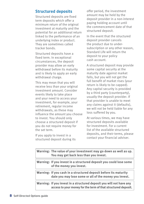#### **Structured deposits**

Structured deposits are fixed term deposits which offer a minimum return of the original investment at maturity and the potential for an additional return linked to the performance of an underlying index or product. They are sometimes called tracker bonds.

Structured deposits have a fixed term. In exceptional circumstances, the deposit provider may allow an early withdrawal before its maturity and is likely to apply an early withdrawal charge.

This may mean that you will receive less than your original investment amount. Consider events likely to take place and your need to access your investment, for example, your retirement, regular income withdrawals, as these may influence the amount you choose to invest. You should only choose a structured deposit if you do not require money for the set term.

If you apply to invest in a structured deposit during its

offer period, the investment amount may be held by the deposit provider in a non-interest paying holding account until the commencement date of that structured deposit.

In the event that the structured deposit provider cancels the product due to undersubscription or any other reason, Standard Life will return the deposit to your policy cash account.

A structured deposit may provide some capital security at the maturity date against market falls, but you will not get the full benefit of market rises (your return is likely to be capped). Any capital security is provided by a third party (counterparty), usually the deposit provider. If that provider is unable to meet any claims against it (defaults), we will not be held liable for any loss suffered by you.

At various times, we may have structured deposits available for investment. For a current list of the available structured deposits, and their terms, please contact your financial adviser.

| Warning: The value of your investment may go down as well as up.<br>You may get back less than you invest.                            |
|---------------------------------------------------------------------------------------------------------------------------------------|
| Warning: If you invest in a structured deposit you could lose some<br>of the money you invest.                                        |
| Warning: If you cash in a structured deposit before its maturity<br>date you may lose some or all of the money you invest.            |
| Warning: If you invest in a structured deposit you will not have any<br>access to your money for the term of that structured deposit. |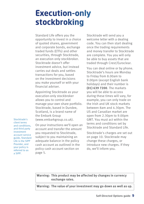### **Execution-only stockbroking**

Standard Life offers you the opportunity to invest in a choice of quoted shares, government and corporate bonds, exchange traded funds (ETFs) and other securities, through Stocktrade, an execution only stockbroker. Stocktrade doesn't offer investment advice, but instead carries out deals and settles transactions for you, based on the investment decisions you make yourself or with your financial adviser.

Appointing Stocktrade as your execution-only stockbroker allows you to control and manage your own share portfolio. Stocktrade, based in Dundee, Scotland, is a brand name of the Embark Group (www.embarkgroup.co.uk).

Stocktrade's client terms and conditions, and third party investment account service guide, Standard Life is the SIPP Provider, and your policy is referred to as a SIPP.

On your instructions we'll open an account and transfer the amount you requested to Stocktrade, subject to you maintaining an adequate balance in the policy cash account as outlined in the policy cash account section on page 5.

Stocktrade will send you a welcome letter with a dealing code. You can then start dealing once the trading requirements and money transfer to Stocktrade are complete. You you will only be able to buy assets that are traded through Crest/Euroclear.

You can deal online or by phone. Stocktrade's hours are Monday to Friday from 8.00am to 9.00pm (except English bank holidays) and their number is **(01) 639 7200**. The markets you will be able to access during these times will vary, for example, you can only trade on the Irish and UK stock markets between 8am and 4.30pm. The US and Canadian market are open from 2.30pm to 9.00pm GMT. You must act within the terms and conditions set by Stocktrade and Standard Life.

Stocktrade's charges are set out on page 10. Stocktrade may change these charges, or introduce new charges. If they do, we'll inform you.

**Warning: This product may be affected by changes in currency exchange rates.**

**Warning: The value of your investment may go down as well as up.**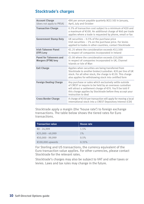#### **Stocktrade's charges**

| <b>Account Charge</b><br>(does not apply to PRSA)    | €90 per annum payable quarterly (€22.50) in January,<br>April, July and October                                                                                                                                                                                     |
|------------------------------------------------------|---------------------------------------------------------------------------------------------------------------------------------------------------------------------------------------------------------------------------------------------------------------------|
| <b>Transaction Charge</b>                            | 0.3% of transaction cost subject to a minimum of $\epsilon$ 20 and<br>a maximum of €100. An additional charge of €40 per trade<br>applies where a trade is requested by phone, email or fax                                                                         |
| <b>Government Stamp Duty</b>                         | UK securities $-0.5%$ of the purchase price<br>Irish securities $-1\%$ on the purchase price. For levies<br>applied to trades in other countries, contact Stocktrade                                                                                                |
| <b>Irish Takeover Panel</b><br>(ITP) Levy            | €1.25 where the consideration exceeds €12,500<br>in respect of companies incorporated in Ireland                                                                                                                                                                    |
| Panel for Takeovers and<br><b>Mergers (PTM) levy</b> | £1.00 where the consideration exceeds £10,000<br>in respect of companies incorporated in UK, Channel<br>Islands or Isle of Man                                                                                                                                      |
| <b>Exit Charge</b>                                   | Applies when securities are being transferred from<br>Stocktrade to another broker/custodian. €20 per line of UK<br>stock. For all other stock, the charge is €120. This charge<br>also applies for withdrawing stock into certified form                           |
| <b>Foreign Dealing Charge</b>                        | Any purchase or sales which exclusively settle outside<br>of CREST or require to be held by an overseas custodian<br>will attract a settlement charge of €70. You'll be told if<br>this charge applies by Stocktrade before they accept your<br>instruction to deal |
| <b>Cross Border Charge</b>                           | A charge of $E$ 150 per transaction will apply for moving a local<br>international stock into a CREST Depository Interest (CDI)                                                                                                                                     |

Stocktrade apply a margin (the 'house rate') to foreign exchange transactions. The table below shows the tiered rates for Euro transactions.

| <b>Transaction value</b> | <b>House rate</b> |
|--------------------------|-------------------|
| €0 - 24,999              | 1.5%              |
| €25,000 - 49,999         | 1%                |
| €50,000 - 99,999         | 0.5%              |
| €100,000 upwards         | 0.35%             |

For Sterling and US transactions, the currency equivalent of the Euro transaction value applies. For other currencies, please contact Stocktrade for the relevant rates.

Stocktrade's charges may also be subject to VAT and other taxes or levies. Laws and tax rules may change in the future.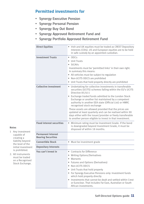#### **Permitted investments for**

- Synergy Executive Pension
- Synergy Personal Pension
- Synergy Buy Out Bond
- Synergy Approved Retirement Fund and
- Synergy Portfolio Approved Retirement Fund

| <b>Direct Equities</b>                                 | • Irish and UK equities must be traded as CREST Depository<br>Interests (CDIs). US and European equities are to be held<br>in safe custody by an appointed custodian.                                                                                                                                                                                                                                                                                                                                                                                                                         |
|--------------------------------------------------------|-----------------------------------------------------------------------------------------------------------------------------------------------------------------------------------------------------------------------------------------------------------------------------------------------------------------------------------------------------------------------------------------------------------------------------------------------------------------------------------------------------------------------------------------------------------------------------------------------|
| <b>Investment Trusts</b>                               | $\bullet$ OEICs<br>• Unit Trusts<br>· SICAVs<br>Investments must be 'permitted links' in their own right.<br>In summary this means:<br>• All vehicles must be subject to regulation<br>• Non-UCITS OEICS are prohibited<br>• Unit Trusts that hold property directly are prohibited                                                                                                                                                                                                                                                                                                           |
| <b>Collective investment</b>                           | • Undertaking for collective investments in transferable<br>securities (UCITS) schemes falling within the EU's UCITS<br>Directive 85/611<br>• Exchange traded funds admitted to the London Stock<br>Exchange or another list maintained by a competent<br>authority in another EEA state (Official List) or HMRC<br>recognised stock exchange<br>These assets are allowed provided that the prices are<br>updated at least quarterly and can be realised within 90<br>days either with the issuer/provider or freely transferable<br>to another person eligible to invest in that investment. |
| <b>Fixed interest securities</b>                       | Minimum rating must be Investment Grade. If the bond<br>$\bullet$<br>is downgraded beyond Investment Grade, it must be<br>disposed of within 18 months.                                                                                                                                                                                                                                                                                                                                                                                                                                       |
| <b>Permanent Interest</b><br><b>Bearing Securities</b> |                                                                                                                                                                                                                                                                                                                                                                                                                                                                                                                                                                                               |
| <b>Convertible Stock</b>                               | · Must be investment grade                                                                                                                                                                                                                                                                                                                                                                                                                                                                                                                                                                    |
| <b>Depositary Interests</b>                            |                                                                                                                                                                                                                                                                                                                                                                                                                                                                                                                                                                                               |
| You can't invest in                                    | • Contracts for Difference<br>• Writing Options/Derivatives<br>• Warrants<br>• Futures and Options (Derivatives)<br>• Non-UCITS OEICS<br>• Unit Trusts that hold property<br>• For Synergy Executive Pensions only: Investment funds<br>which hold property directly<br>• Investments that cannot be dealt and settled within Crest<br>or Euroclear. That includes Far East, Australian or South<br>African investments.                                                                                                                                                                      |

#### **Notes**

- 1 Any investment capable of creating a liability beyond the level of the initial investment is prohibited.
- 2. All instruments must be traded on a Recognised Stock Exchange.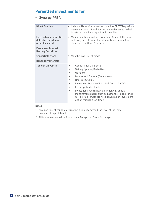### **Permitted investments for**

#### • Synergy PRSA

| <b>Direct Equities</b>                                                       | Irish and UK equities must be traded as CREST Depository<br>Interests (CDIs). US and European equities are to be held<br>in safe custody by an appointed custodian.                                                                                                                                                                                                                                               |  |
|------------------------------------------------------------------------------|-------------------------------------------------------------------------------------------------------------------------------------------------------------------------------------------------------------------------------------------------------------------------------------------------------------------------------------------------------------------------------------------------------------------|--|
| <b>Fixed interest securities,</b><br>debenture stock and<br>other loan stock | • Minimum rating must be Investment Grade. If the bond<br>is downgraded beyond Investment Grade, it must be<br>disposed of within 18 months.                                                                                                                                                                                                                                                                      |  |
| <b>Permanent Interest</b><br><b>Bearing Securities</b>                       |                                                                                                                                                                                                                                                                                                                                                                                                                   |  |
| <b>Convertible Stock</b>                                                     | • Must be investment grade                                                                                                                                                                                                                                                                                                                                                                                        |  |
| <b>Depositary Interests</b>                                                  |                                                                                                                                                                                                                                                                                                                                                                                                                   |  |
| You can't invest in                                                          | Contracts for Difference<br>٠<br><b>Writing Options/Derivatives</b><br>Warrants<br>٠<br>Futures and Options (Derivatives)<br>Non-UCITS OEICS<br>Investment Trusts - OEICs, Unit Trusts, SICAVs<br>Exchange traded funds<br>Investments which have an underlying annual<br>management charge such as Exchange Traded Funds<br>(ETFs) or unit trusts are not allowed as an investment<br>option through Stocktrade. |  |

#### **Notes**

- 1 Any investment capable of creating a liability beyond the level of the initial investment is prohibited.
- 2. All instruments must be traded on a Recognised Stock Exchange.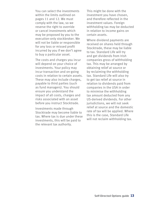You can select the investments within the limits outlined on pages 11 and 12. We must comply with the law, so we reserve the right to override or cancel investments which may be proposed by you to the execution-only stockbroker. We will not be liable or responsible for any loss or missed profit incurred by you if we don't agree to buy a particular asset.

The costs and charges you incur will depend on your choice of investments. Your policy may incur transaction and on-going costs in relation to certain assets. These may also include charges, payable to third parties (such as fund managers). You should ensure you understand the impact of all costs, charges and risks associated with an asset before you instruct Stocktrade.

Investments made through Stocktrade may become liable to tax. Where tax is due under these investments, this will be paid to the relevant tax authority.

This might be done with the investment you have chosen, and therefore reflected in the investment values. Foreign withholding tax may be deducted in relation to income gains on certain assets.

Where dividend payments are received on shares held through Stocktrade, these may be liable to tax. Standard Life will try and get dividends from Irish companies gross of withholding tax. This may be arranged by obtaining relief at source or by reclaiming the withholding tax. Standard Life will also try to get tax relief at source in relation to dividends paid from companies in the USA in order to minimise the withholding tax amount deducted from any US-derived dividends. For other jurisdictions, we will not seek relief at source and the domestic rate of tax will be applied. Where this is the case, Standard Life will not reclaim withholding tax.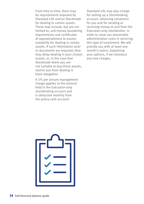From time to time, there may be requirements imposed by Standard Life and/or Stocktrade for dealing in certain assets. These may include, but are not limited to, anti-money laundering requirements and certificates of appropriateness to assess suitability for dealing in certain assets. If such information and/ or documents are required, they may delay dealing in your chosen assets, or, in the case that Stocktrade deem you are not suitable to buy those assets, restrict you from dealing in them altogether.

A 1% per annum management charge applies to the amount held in the Execution-only stockbroking account and is deducted monthly from the policy cash account.

Standard Life may also charge for setting up a Stockbroking account, obtaining valuations for you and for sending or receiving money to and from the Execution-only stockbroker, in order to cover our reasonable administration costs in servicing this type of investment. We will provide you with at least one month's notice, explaining your options, if we introduce any new charges.

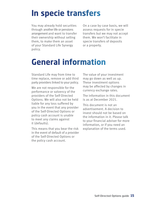## **In specie transfers**

You may already hold securities through another life or pensions arrangement and want to transfer their ownership without selling them, to make them an asset of your Standard Life Synergy policy.

On a case by case basis, we will assess requests for in specie transfers but we may not accept them. We won't facilitate in specie transfers of deposits or a property.

### **General information**

Standard Life may from time to time replace, remove or add third party providers linked to your policy.

We are not responsible for the performance or solvency of the providers of the Self-Directed Options. We will also not be held liable for any loss suffered by you in the event that any provider of the Self-Directed Options or policy cash account is unable to meet any claims against it (defaults).

This means that you bear the risk in the event of default of a provider of the Self-Directed Options or the policy cash account.

The value of your investment may go down as well as up. These investment options may be affected by changes in currency exchange rates.

The information in this document is as at December 2021.

This document is not an advertisement. A decision to invest should not be based on the information in it. Please talk to your financial adviser for more information, or if you need an explanation of the terms used.